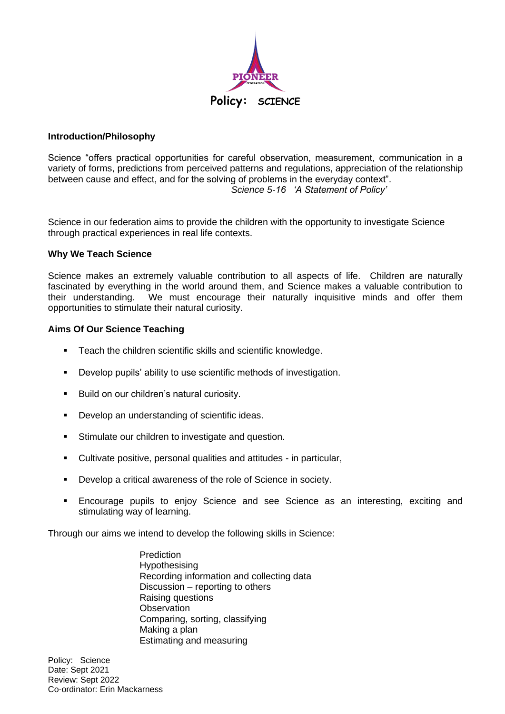

## **Introduction/Philosophy**

Science "offers practical opportunities for careful observation, measurement, communication in a variety of forms, predictions from perceived patterns and regulations, appreciation of the relationship between cause and effect, and for the solving of problems in the everyday context". *Science 5-16 'A Statement of Policy'*

Science in our federation aims to provide the children with the opportunity to investigate Science through practical experiences in real life contexts.

### **Why We Teach Science**

Science makes an extremely valuable contribution to all aspects of life. Children are naturally fascinated by everything in the world around them, and Science makes a valuable contribution to their understanding. We must encourage their naturally inquisitive minds and offer them opportunities to stimulate their natural curiosity.

### **Aims Of Our Science Teaching**

- Teach the children scientific skills and scientific knowledge.
- Develop pupils' ability to use scientific methods of investigation.
- Build on our children's natural curiosity.
- Develop an understanding of scientific ideas.
- **EXECUTE:** Stimulate our children to investigate and question.
- Cultivate positive, personal qualities and attitudes in particular,
- Develop a critical awareness of the role of Science in society.
- Encourage pupils to enjoy Science and see Science as an interesting, exciting and stimulating way of learning.

Through our aims we intend to develop the following skills in Science:

Prediction **Hypothesising** Recording information and collecting data Discussion – reporting to others Raising questions **Observation** Comparing, sorting, classifying Making a plan Estimating and measuring

Policy: Science Date: Sept 2021 Review: Sept 2022 Co-ordinator: Erin Mackarness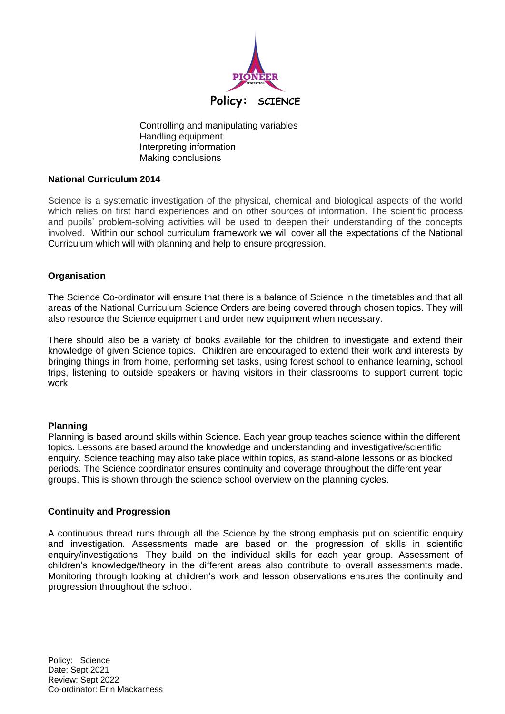

Controlling and manipulating variables Handling equipment Interpreting information Making conclusions

# **National Curriculum 2014**

Science is a systematic investigation of the physical, chemical and biological aspects of the world which relies on first hand experiences and on other sources of information. The scientific process and pupils' problem-solving activities will be used to deepen their understanding of the concepts involved. Within our school curriculum framework we will cover all the expectations of the National Curriculum which will with planning and help to ensure progression.

# **Organisation**

The Science Co-ordinator will ensure that there is a balance of Science in the timetables and that all areas of the National Curriculum Science Orders are being covered through chosen topics. They will also resource the Science equipment and order new equipment when necessary.

There should also be a variety of books available for the children to investigate and extend their knowledge of given Science topics. Children are encouraged to extend their work and interests by bringing things in from home, performing set tasks, using forest school to enhance learning, school trips, listening to outside speakers or having visitors in their classrooms to support current topic work.

# **Planning**

Planning is based around skills within Science. Each year group teaches science within the different topics. Lessons are based around the knowledge and understanding and investigative/scientific enquiry. Science teaching may also take place within topics, as stand-alone lessons or as blocked periods. The Science coordinator ensures continuity and coverage throughout the different year groups. This is shown through the science school overview on the planning cycles.

# **Continuity and Progression**

A continuous thread runs through all the Science by the strong emphasis put on scientific enquiry and investigation. Assessments made are based on the progression of skills in scientific enquiry/investigations. They build on the individual skills for each year group. Assessment of children's knowledge/theory in the different areas also contribute to overall assessments made. Monitoring through looking at children's work and lesson observations ensures the continuity and progression throughout the school.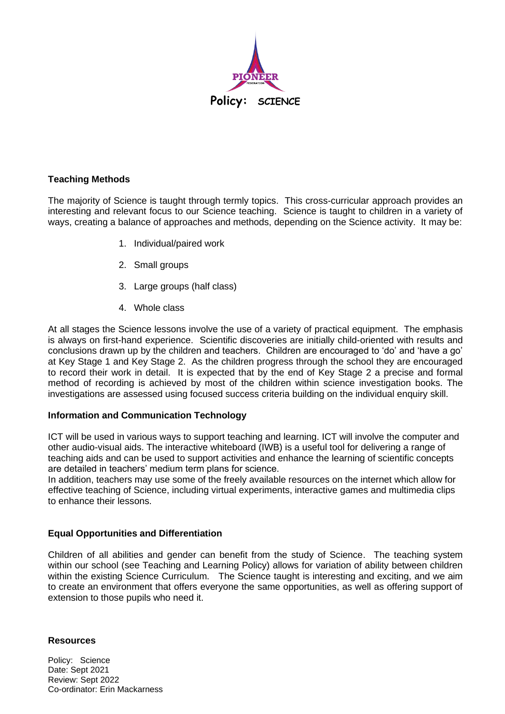

### **Teaching Methods**

The majority of Science is taught through termly topics. This cross-curricular approach provides an interesting and relevant focus to our Science teaching. Science is taught to children in a variety of ways, creating a balance of approaches and methods, depending on the Science activity. It may be:

- 1. Individual/paired work
- 2. Small groups
- 3. Large groups (half class)
- 4. Whole class

At all stages the Science lessons involve the use of a variety of practical equipment. The emphasis is always on first-hand experience. Scientific discoveries are initially child-oriented with results and conclusions drawn up by the children and teachers. Children are encouraged to 'do' and 'have a go' at Key Stage 1 and Key Stage 2. As the children progress through the school they are encouraged to record their work in detail. It is expected that by the end of Key Stage 2 a precise and formal method of recording is achieved by most of the children within science investigation books. The investigations are assessed using focused success criteria building on the individual enquiry skill.

# **Information and Communication Technology**

ICT will be used in various ways to support teaching and learning. ICT will involve the computer and other audio-visual aids. The interactive whiteboard (IWB) is a useful tool for delivering a range of teaching aids and can be used to support activities and enhance the learning of scientific concepts are detailed in teachers' medium term plans for science.

In addition, teachers may use some of the freely available resources on the internet which allow for effective teaching of Science, including virtual experiments, interactive games and multimedia clips to enhance their lessons.

# **Equal Opportunities and Differentiation**

Children of all abilities and gender can benefit from the study of Science. The teaching system within our school (see Teaching and Learning Policy) allows for variation of ability between children within the existing Science Curriculum. The Science taught is interesting and exciting, and we aim to create an environment that offers everyone the same opportunities, as well as offering support of extension to those pupils who need it.

**Resources**

Policy: Science Date: Sept 2021 Review: Sept 2022 Co-ordinator: Erin Mackarness